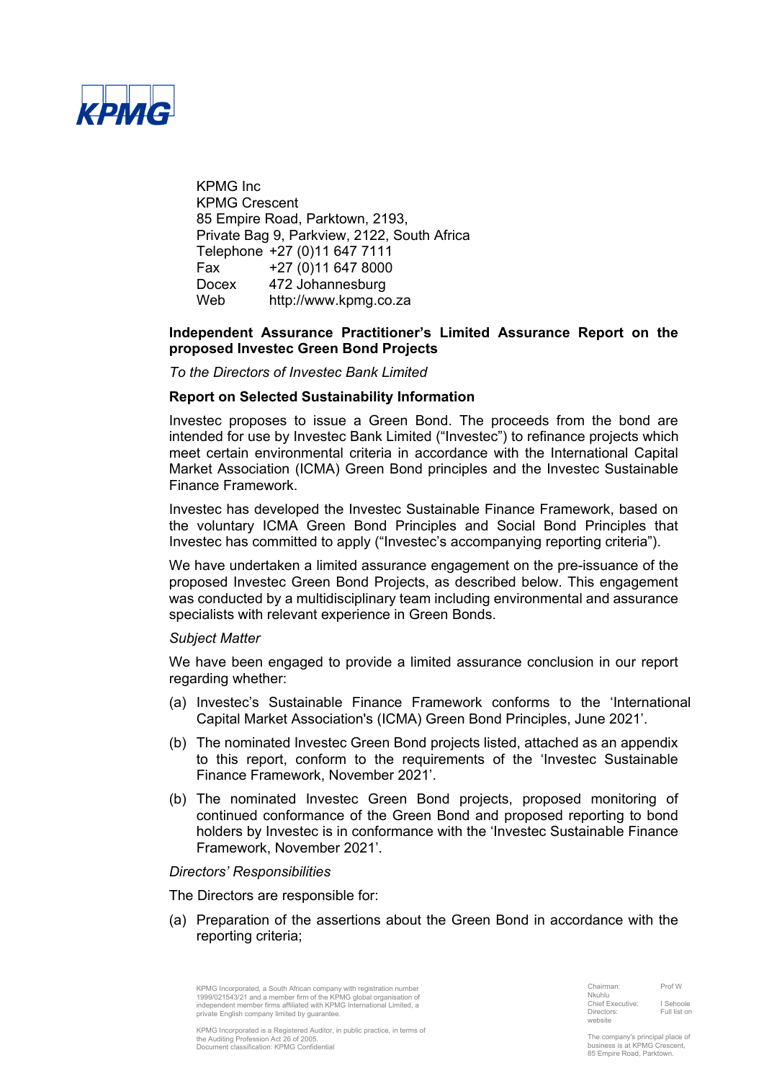

KPMG Inc KPMG Crescent 85 Empire Road, Parktown, 2193, Private Bag 9, Parkview, 2122, South Africa Telephone +27 (0)11 647 7111 Fax +27 (0)11 647 8000 Docex 472 Johannesburg Web http://www.kpmg.co.za

### **Independent Assurance Practitioner's Limited Assurance Report on the proposed Investec Green Bond Projects**

*To the Directors of Investec Bank Limited*

### **Report on Selected Sustainability Information**

Investec proposes to issue a Green Bond. The proceeds from the bond are intended for use by Investec Bank Limited ("Investec") to refinance projects which meet certain environmental criteria in accordance with the International Capital Market Association (ICMA) Green Bond principles and the Investec Sustainable Finance Framework.

Investec has developed the Investec Sustainable Finance Framework, based on the voluntary ICMA Green Bond Principles and Social Bond Principles that Investec has committed to apply ("Investec's accompanying reporting criteria").

We have undertaken a limited assurance engagement on the pre-issuance of the proposed Investec Green Bond Projects, as described below. This engagement was conducted by a multidisciplinary team including environmental and assurance specialists with relevant experience in Green Bonds.

### *Subject Matter*

We have been engaged to provide a limited assurance conclusion in our report regarding whether:

- (a) Investec's Sustainable Finance Framework conforms to the 'International Capital Market Association's (ICMA) Green Bond Principles, June 2021'.
- (b) The nominated Investec Green Bond projects listed, attached as an appendix to this report, conform to the requirements of the 'Investec Sustainable Finance Framework, November 2021'.
- (b) The nominated Investec Green Bond projects, proposed monitoring of continued conformance of the Green Bond and proposed reporting to bond holders by Investec is in conformance with the 'Investec Sustainable Finance Framework, November 2021'.

*Directors' Responsibilities*

The Directors are responsible for:

(a) Preparation of the assertions about the Green Bond in accordance with the reporting criteria;

KPMG Incorporated, a South African company with registration number<br>1999/021543/21 and a member firm of the KPMG jobal organisation of<br>independent member firms affiliated with KPMG International Limited, a private English company limited by guarantee

| Chairman:               | Prof W       |
|-------------------------|--------------|
| Nkuhlu                  |              |
| <b>Chief Executive:</b> | I Sehoole    |
| Directors:              | Full list or |
| website                 |              |

KPMG Incorporated is a Registered Auditor, in public practice, in terms of the Auditing Profession Act 26 of 2005. Document classification: KPMG Confidential

The company's principal place of business is at KPMG Crescent, 85 Empire Road, Parktown.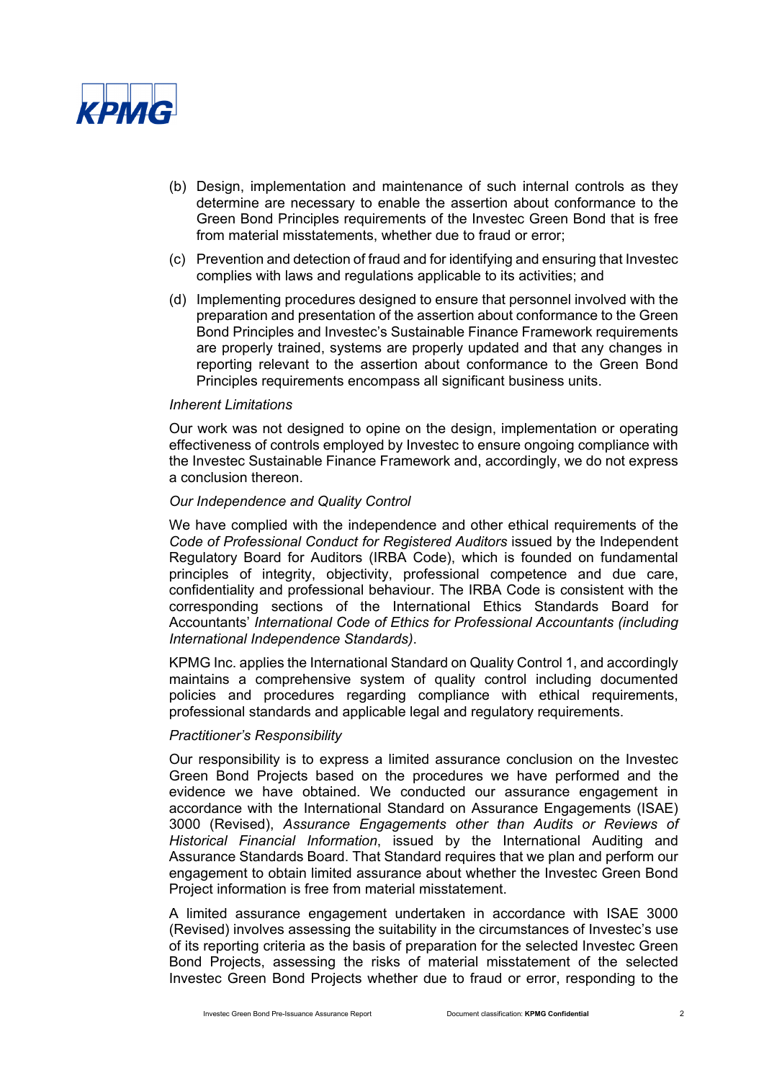

- (b) Design, implementation and maintenance of such internal controls as they determine are necessary to enable the assertion about conformance to the Green Bond Principles requirements of the Investec Green Bond that is free from material misstatements, whether due to fraud or error;
- (c) Prevention and detection of fraud and for identifying and ensuring that Investec complies with laws and regulations applicable to its activities; and
- (d) Implementing procedures designed to ensure that personnel involved with the preparation and presentation of the assertion about conformance to the Green Bond Principles and Investec's Sustainable Finance Framework requirements are properly trained, systems are properly updated and that any changes in reporting relevant to the assertion about conformance to the Green Bond Principles requirements encompass all significant business units.

#### *Inherent Limitations*

Our work was not designed to opine on the design, implementation or operating effectiveness of controls employed by Investec to ensure ongoing compliance with the Investec Sustainable Finance Framework and, accordingly, we do not express a conclusion thereon.

### *Our Independence and Quality Control*

We have complied with the independence and other ethical requirements of the *Code of Professional Conduct for Registered Auditors* issued by the Independent Regulatory Board for Auditors (IRBA Code), which is founded on fundamental principles of integrity, objectivity, professional competence and due care, confidentiality and professional behaviour. The IRBA Code is consistent with the corresponding sections of the International Ethics Standards Board for Accountants' *International Code of Ethics for Professional Accountants (including International Independence Standards)*.

KPMG Inc. applies the International Standard on Quality Control 1, and accordingly maintains a comprehensive system of quality control including documented policies and procedures regarding compliance with ethical requirements, professional standards and applicable legal and regulatory requirements.

#### *Practitioner's Responsibility*

Our responsibility is to express a limited assurance conclusion on the Investec Green Bond Projects based on the procedures we have performed and the evidence we have obtained. We conducted our assurance engagement in accordance with the International Standard on Assurance Engagements (ISAE) 3000 (Revised), *Assurance Engagements other than Audits or Reviews of Historical Financial Information*, issued by the International Auditing and Assurance Standards Board. That Standard requires that we plan and perform our engagement to obtain limited assurance about whether the Investec Green Bond Project information is free from material misstatement.

A limited assurance engagement undertaken in accordance with ISAE 3000 (Revised) involves assessing the suitability in the circumstances of Investec's use of its reporting criteria as the basis of preparation for the selected Investec Green Bond Projects, assessing the risks of material misstatement of the selected Investec Green Bond Projects whether due to fraud or error, responding to the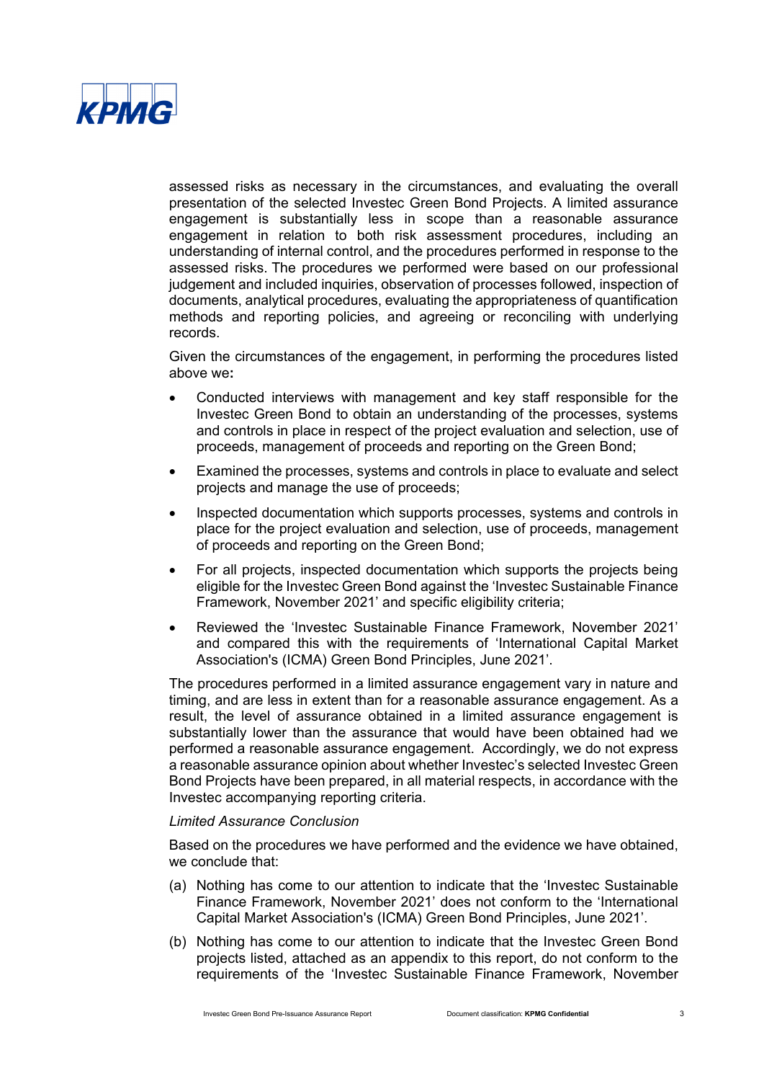

assessed risks as necessary in the circumstances, and evaluating the overall presentation of the selected Investec Green Bond Projects. A limited assurance engagement is substantially less in scope than a reasonable assurance engagement in relation to both risk assessment procedures, including an understanding of internal control, and the procedures performed in response to the assessed risks. The procedures we performed were based on our professional judgement and included inquiries, observation of processes followed, inspection of documents, analytical procedures, evaluating the appropriateness of quantification methods and reporting policies, and agreeing or reconciling with underlying records.

Given the circumstances of the engagement, in performing the procedures listed above we**:**

- Conducted interviews with management and key staff responsible for the Investec Green Bond to obtain an understanding of the processes, systems and controls in place in respect of the project evaluation and selection, use of proceeds, management of proceeds and reporting on the Green Bond;
- Examined the processes, systems and controls in place to evaluate and select projects and manage the use of proceeds;
- Inspected documentation which supports processes, systems and controls in place for the project evaluation and selection, use of proceeds, management of proceeds and reporting on the Green Bond;
- For all projects, inspected documentation which supports the projects being eligible for the Investec Green Bond against the 'Investec Sustainable Finance Framework, November 2021' and specific eligibility criteria;
- Reviewed the 'Investec Sustainable Finance Framework, November 2021' and compared this with the requirements of 'International Capital Market Association's (ICMA) Green Bond Principles, June 2021'.

The procedures performed in a limited assurance engagement vary in nature and timing, and are less in extent than for a reasonable assurance engagement. As a result, the level of assurance obtained in a limited assurance engagement is substantially lower than the assurance that would have been obtained had we performed a reasonable assurance engagement. Accordingly, we do not express a reasonable assurance opinion about whether Investec's selected Investec Green Bond Projects have been prepared, in all material respects, in accordance with the Investec accompanying reporting criteria.

### *Limited Assurance Conclusion*

Based on the procedures we have performed and the evidence we have obtained, we conclude that:

- (a) Nothing has come to our attention to indicate that the 'Investec Sustainable Finance Framework, November 2021' does not conform to the 'International Capital Market Association's (ICMA) Green Bond Principles, June 2021'.
- (b) Nothing has come to our attention to indicate that the Investec Green Bond projects listed, attached as an appendix to this report, do not conform to the requirements of the 'Investec Sustainable Finance Framework, November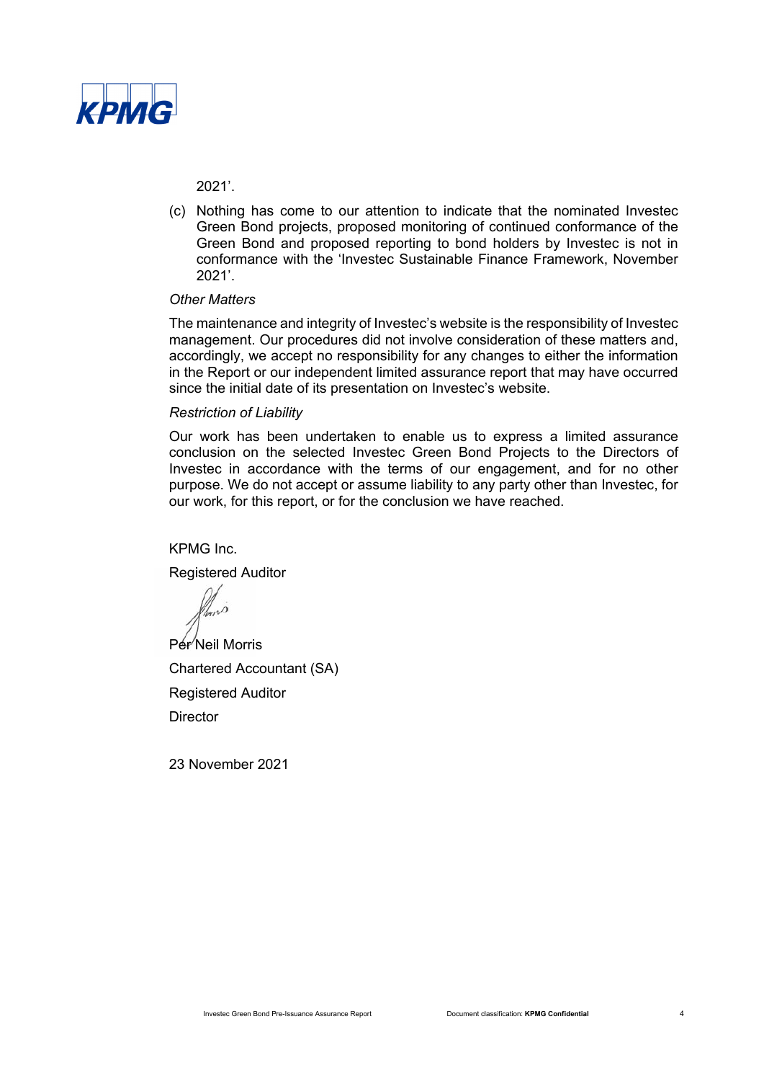

2021'.

(c) Nothing has come to our attention to indicate that the nominated Investec Green Bond projects, proposed monitoring of continued conformance of the Green Bond and proposed reporting to bond holders by Investec is not in conformance with the 'Investec Sustainable Finance Framework, November 2021'.

#### *Other Matters*

The maintenance and integrity of Investec's website is the responsibility of Investec management. Our procedures did not involve consideration of these matters and, accordingly, we accept no responsibility for any changes to either the information in the Report or our independent limited assurance report that may have occurred since the initial date of its presentation on Investec's website.

#### *Restriction of Liability*

Our work has been undertaken to enable us to express a limited assurance conclusion on the selected Investec Green Bond Projects to the Directors of Investec in accordance with the terms of our engagement, and for no other purpose. We do not accept or assume liability to any party other than Investec, for our work, for this report, or for the conclusion we have reached.

KPMG Inc.

Registered Auditor

Per<sup>/</sup>Neil Morris Chartered Accountant (SA) Registered Auditor **Director** 

23 November 2021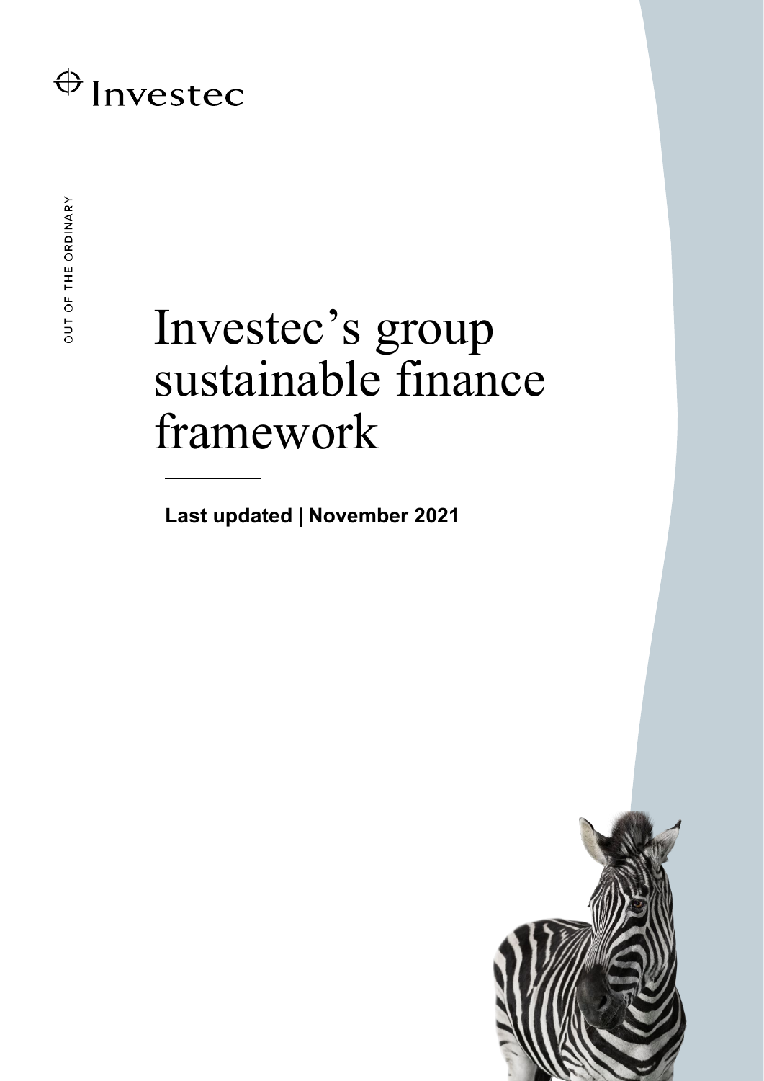# Investec's group sustainable finance framework

**Last updated | November 2021**

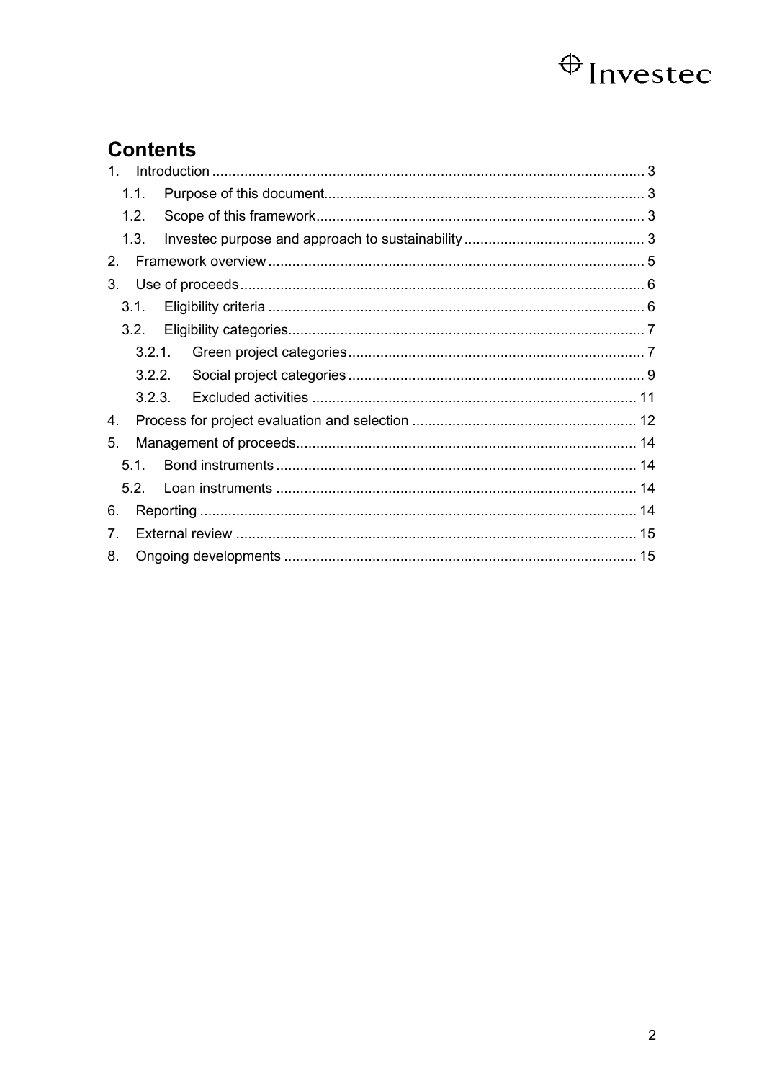# **Contents**

| 1 <sup>1</sup> |                 |  |  |
|----------------|-----------------|--|--|
|                | 1.1.            |  |  |
|                | 1.2.            |  |  |
|                | 1.3.            |  |  |
| 2.             |                 |  |  |
| 3.             |                 |  |  |
|                | 3.1.            |  |  |
|                | 3.2.            |  |  |
|                |                 |  |  |
|                |                 |  |  |
|                | 3.2.3.          |  |  |
| 4.             |                 |  |  |
| 5.             |                 |  |  |
|                | 5.1.            |  |  |
|                | 52 <sub>2</sub> |  |  |
| 6.             |                 |  |  |
| 7 <sub>1</sub> |                 |  |  |
| 8.             |                 |  |  |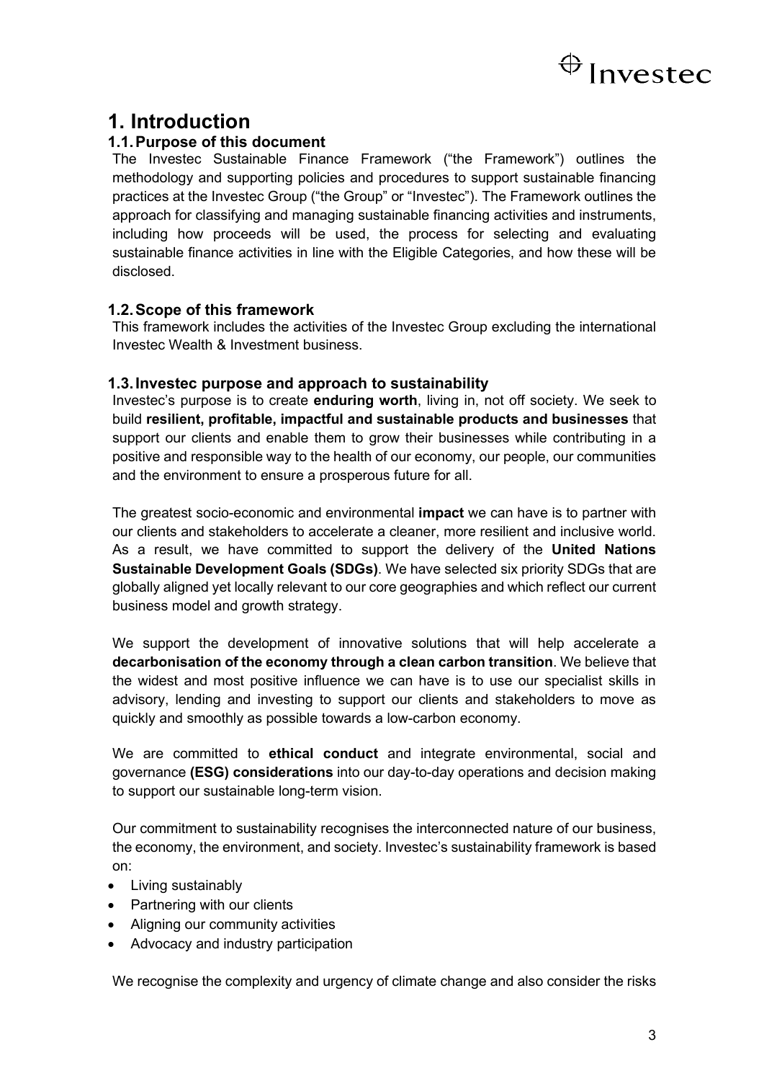

### <span id="page-6-0"></span>**1. Introduction**

### <span id="page-6-1"></span>**1.1.Purpose of this document**

The Investec Sustainable Finance Framework ("the Framework") outlines the methodology and supporting policies and procedures to support sustainable financing practices at the Investec Group ("the Group" or "Investec"). The Framework outlines the approach for classifying and managing sustainable financing activities and instruments, including how proceeds will be used, the process for selecting and evaluating sustainable finance activities in line with the Eligible Categories, and how these will be disclosed.

### <span id="page-6-2"></span>**1.2.Scope of this framework**

This framework includes the activities of the Investec Group excluding the international Investec Wealth & Investment business.

### <span id="page-6-3"></span>**1.3.Investec purpose and approach to sustainability**

Investec's purpose is to create **enduring worth**, living in, not off society. We seek to build **resilient, profitable, impactful and sustainable products and businesses** that support our clients and enable them to grow their businesses while contributing in a positive and responsible way to the health of our economy, our people, our communities and the environment to ensure a prosperous future for all.

The greatest socio-economic and environmental **impact** we can have is to partner with our clients and stakeholders to accelerate a cleaner, more resilient and inclusive world. As a result, we have committed to support the delivery of the **United Nations Sustainable Development Goals (SDGs)**. We have selected six priority SDGs that are globally aligned yet locally relevant to our core geographies and which reflect our current business model and growth strategy.

We support the development of innovative solutions that will help accelerate a **decarbonisation of the economy through a clean carbon transition**. We believe that the widest and most positive influence we can have is to use our specialist skills in advisory, lending and investing to support our clients and stakeholders to move as quickly and smoothly as possible towards a low-carbon economy.

We are committed to **ethical conduct** and integrate environmental, social and governance **(ESG) considerations** into our day-to-day operations and decision making to support our sustainable long-term vision.

Our commitment to sustainability recognises the interconnected nature of our business, the economy, the environment, and society. Investec's sustainability framework is based on:

- Living sustainably
- Partnering with our clients
- Aligning our community activities
- Advocacy and industry participation

We recognise the complexity and urgency of climate change and also consider the risks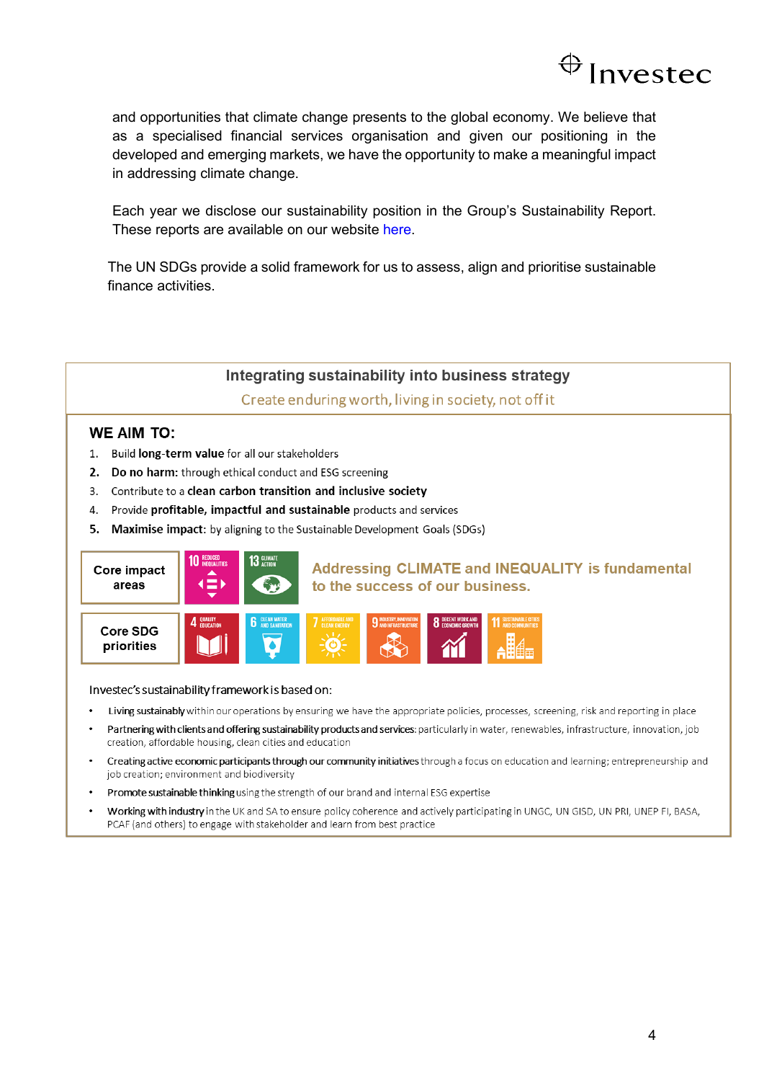

and opportunities that climate change presents to the global economy. We believe that as a specialised financial services organisation and given our positioning in the developed and emerging markets, we have the opportunity to make a meaningful impact in addressing climate change.

Each year we disclose our sustainability position in the Group's Sustainability Report. These reports are available on our website [here.](https://www.investec.com/content/dam/investor-relations/financial-information/group-financial-results/2020/Investec-Sustainability-Report-Final-06-07-2020.pdf)

The UN SDGs provide a solid framework for us to assess, align and prioritise sustainable finance activities.

### Integrating sustainability into business strategy

Create enduring worth, living in society, not off it

### **WE AIM TO:**

- 1. Build long-term value for all our stakeholders
- 2. Do no harm: through ethical conduct and ESG screening
- 3. Contribute to a clean carbon transition and inclusive society
- 4. Provide profitable, impactful and sustainable products and services
- 5. Maximise impact: by aligning to the Sustainable Development Goals (SDGs)



Investec's sustainability framework is based on:

- Living sustainably within our operations by ensuring we have the appropriate policies, processes, screening, risk and reporting in place
- Partnering with clients and offering sustainability products and services: particularly in water, renewables, infrastructure, innovation, job creation, affordable housing, clean cities and education
- Creating active economic participants through our community initiatives through a focus on education and learning; entrepreneurship and job creation; environment and biodiversity
- Promote sustainable thinking using the strength of our brand and internal ESG expertise
- Working with industry in the UK and SA to ensure policy coherence and actively participating in UNGC, UN GISD, UN PRI, UNEP FI, BASA, PCAF (and others) to engage with stakeholder and learn from best practice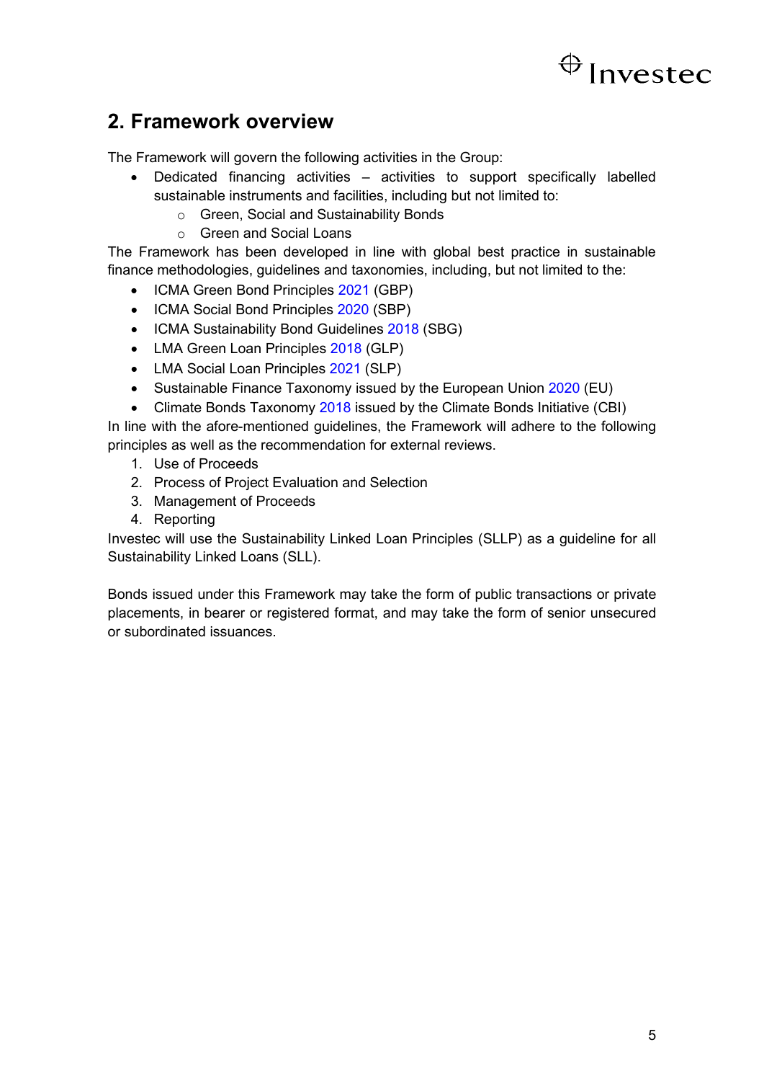### <span id="page-8-0"></span>**2. Framework overview**

The Framework will govern the following activities in the Group:

- Dedicated financing activities activities to support specifically labelled sustainable instruments and facilities, including but not limited to:
	- o Green, Social and Sustainability Bonds
	- o Green and Social Loans

The Framework has been developed in line with global best practice in sustainable finance methodologies, guidelines and taxonomies, including, but not limited to the:

- ICMA Green Bond Principles [2021](https://www.icmagroup.org/assets/documents/Sustainable-finance/2021-updates/Green-Bond-Principles-June-2021-140621.pdf) (GBP)
- ICMA Social Bond Principles [2020](https://www.icmagroup.org/assets/documents/Regulatory/Green-Bonds/June-2020/Social-Bond-PrinciplesJune-2020-090620.pdf) (SBP)
- ICMA Sustainability Bond Guidelines [2018](https://www.icmagroup.org/assets/documents/Regulatory/Green-Bonds/Sustainability-Bonds-Guidelines-June-2018-270520.pdf) (SBG)
- LMA Green Loan Principles [2018](https://www.lma.eu.com/application/files/9115/4452/5458/741_LM_Green_Loan_Principles_Booklet_V8.pdf) (GLP)
- LMA Social Loan Principles [2021](https://www.lma.eu.com/application/files/1816/1829/9975/Social_Loan_Principles.pdf) (SLP)
- Sustainable Finance Taxonomy issued by the European Union [2020](https://ec.europa.eu/info/sites/info/files/business_economy_euro/banking_and_finance/documents/200309-sustainable-finance-teg-final-report-taxonomy_en.pdf) (EU)
- Climate Bonds Taxonomy [2018](https://www.climatebonds.net/files/files/CBI-Taxonomy-Sep18.pdf) issued by the Climate Bonds Initiative (CBI)

In line with the afore-mentioned guidelines, the Framework will adhere to the following principles as well as the recommendation for external reviews.

- 1. Use of Proceeds
- 2. Process of Project Evaluation and Selection
- 3. Management of Proceeds
- 4. Reporting

Investec will use the Sustainability Linked Loan Principles (SLLP) as a guideline for all Sustainability Linked Loans (SLL).

Bonds issued under this Framework may take the form of public transactions or private placements, in bearer or registered format, and may take the form of senior unsecured or subordinated issuances.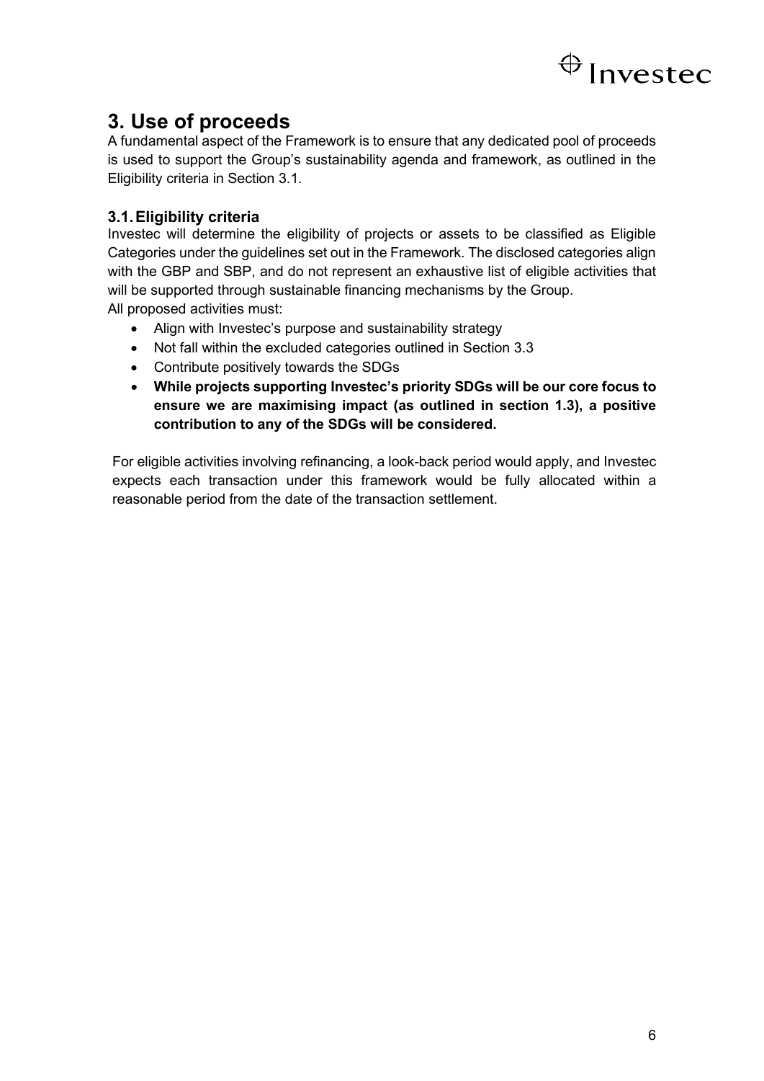

## <span id="page-9-0"></span>**3. Use of proceeds**

A fundamental aspect of the Framework is to ensure that any dedicated pool of proceeds is used to support the Group's sustainability agenda and framework, as outlined in the Eligibility criteria in Section 3.1.

### <span id="page-9-1"></span>**3.1.Eligibility criteria**

Investec will determine the eligibility of projects or assets to be classified as Eligible Categories under the guidelines set out in the Framework. The disclosed categories align with the GBP and SBP, and do not represent an exhaustive list of eligible activities that will be supported through sustainable financing mechanisms by the Group. All proposed activities must:

• Align with Investec's purpose and sustainability strategy

- Not fall within the excluded categories outlined in Section 3.3
- Contribute positively towards the SDGs
- **While projects supporting Investec's priority SDGs will be our core focus to ensure we are maximising impact (as outlined in section 1.3), a positive contribution to any of the SDGs will be considered.**

For eligible activities involving refinancing, a look-back period would apply, and Investec expects each transaction under this framework would be fully allocated within a reasonable period from the date of the transaction settlement.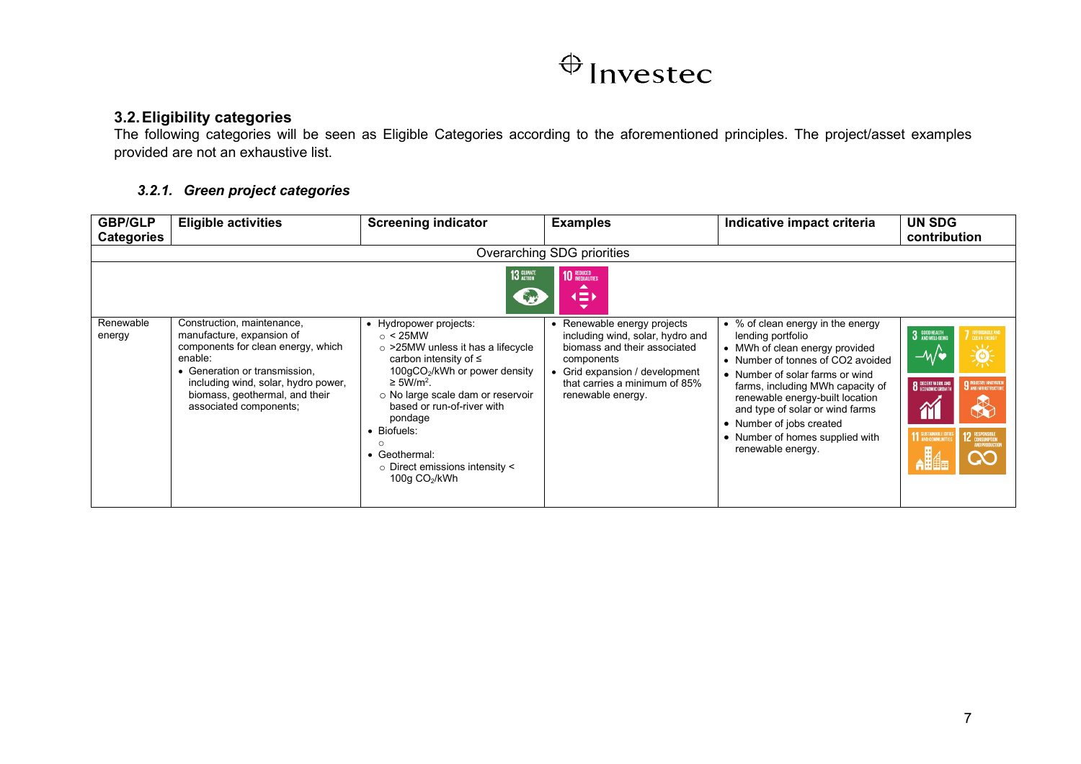### **3.2.Eligibility categories**

The following categories will be seen as Eligible Categories according to the aforementioned principles. The project/asset examples provided are not an exhaustive list.

### *3.2.1. Green project categories*

<span id="page-10-1"></span><span id="page-10-0"></span>

| <b>GBP/GLP</b><br><b>Categories</b> | <b>Eligible activities</b>                                                                                                                                                                                                                   | <b>Screening indicator</b>                                                                                                                                                                                                                                                                                                                                  | <b>Examples</b>                                                                                                                                                                                        | Indicative impact criteria                                                                                                                                                                                                                                                                                                                                     | UN SDG<br>contribution                                                                                                                                                                                                                                        |  |  |  |  |  |
|-------------------------------------|----------------------------------------------------------------------------------------------------------------------------------------------------------------------------------------------------------------------------------------------|-------------------------------------------------------------------------------------------------------------------------------------------------------------------------------------------------------------------------------------------------------------------------------------------------------------------------------------------------------------|--------------------------------------------------------------------------------------------------------------------------------------------------------------------------------------------------------|----------------------------------------------------------------------------------------------------------------------------------------------------------------------------------------------------------------------------------------------------------------------------------------------------------------------------------------------------------------|---------------------------------------------------------------------------------------------------------------------------------------------------------------------------------------------------------------------------------------------------------------|--|--|--|--|--|
|                                     | Overarching SDG priorities                                                                                                                                                                                                                   |                                                                                                                                                                                                                                                                                                                                                             |                                                                                                                                                                                                        |                                                                                                                                                                                                                                                                                                                                                                |                                                                                                                                                                                                                                                               |  |  |  |  |  |
|                                     | <b>13 GLIMATE</b><br><b>10 REDUCED</b><br>▴<br>$\left( \equiv \right)$<br>$\overline{\phantom{0}}$                                                                                                                                           |                                                                                                                                                                                                                                                                                                                                                             |                                                                                                                                                                                                        |                                                                                                                                                                                                                                                                                                                                                                |                                                                                                                                                                                                                                                               |  |  |  |  |  |
| Renewable<br>energy                 | Construction, maintenance,<br>manufacture, expansion of<br>components for clean energy, which<br>enable:<br>• Generation or transmission.<br>including wind, solar, hydro power,<br>biomass, geothermal, and their<br>associated components; | • Hydropower projects:<br>$\circ$ < 25MW<br>$\circ$ >25MW unless it has a lifecycle<br>carbon intensity of $\leq$<br>$100qCO2/kWh$ or power density<br>$\geq$ 5W/m <sup>2</sup> .<br>○ No large scale dam or reservoir<br>based or run-of-river with<br>pondage<br>• Biofuels:<br>Geothermal:<br>$\circ$ Direct emissions intensity $\le$<br>100g $CO2/kWh$ | Renewable energy projects<br>٠<br>including wind, solar, hydro and<br>biomass and their associated<br>components<br>Grid expansion / development<br>that carries a minimum of 85%<br>renewable energy. | • % of clean energy in the energy<br>lending portfolio<br>• MWh of clean energy provided<br>• Number of tonnes of CO2 avoided<br>• Number of solar farms or wind<br>farms, including MWh capacity of<br>renewable energy-built location<br>and type of solar or wind farms<br>• Number of jobs created<br>• Number of homes supplied with<br>renewable energy. | 3 GOOD HEALTH<br><b>7</b> AFFORDABLE AN<br>$\phi$<br>$-\mathcal{W}$<br><b>8</b> DECENT WORK AND<br>9 MOUSTRY, INNOVATIO<br>$\bf \widetilde{\bf M}$<br><b>11 SUSTAINABLE CITIES</b><br><b>12 RESPONSIBLE</b><br><b>AND PRODUCT</b><br><b>Alla</b><br><b>QO</b> |  |  |  |  |  |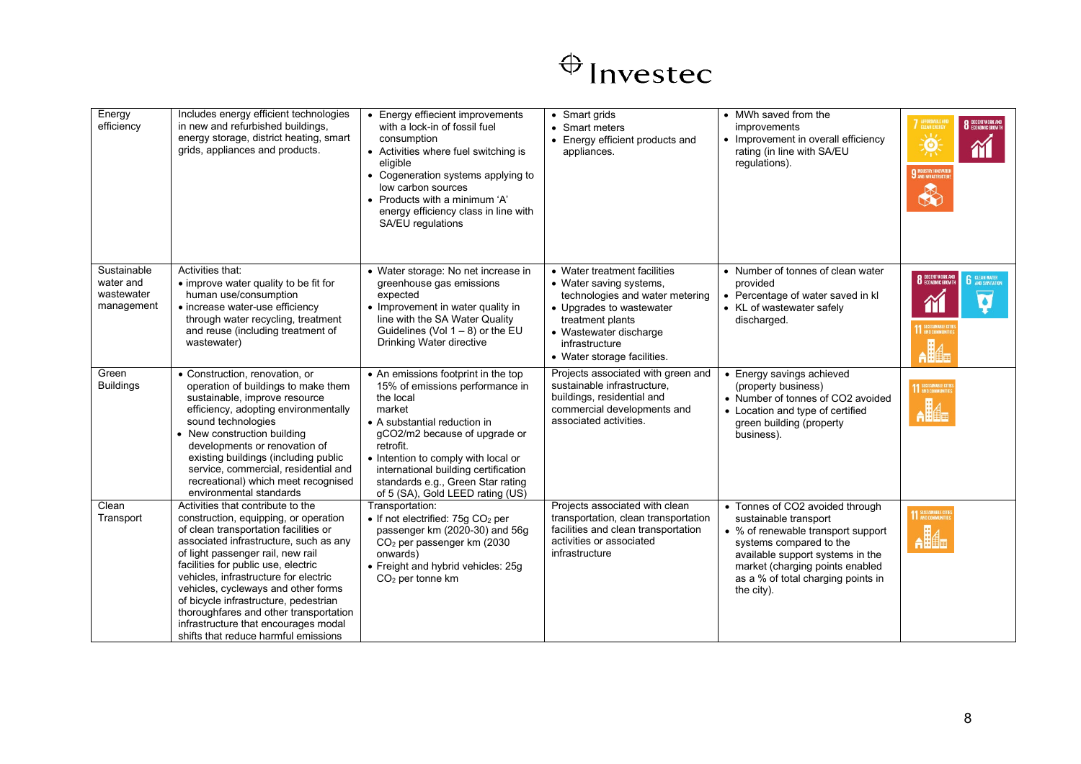

| Energy<br>efficiency                                 | Includes energy efficient technologies<br>in new and refurbished buildings,<br>energy storage, district heating, smart<br>grids, appliances and products.                                                                                                                                                                                                                                                                                                                                    | • Energy effiecient improvements<br>with a lock-in of fossil fuel<br>consumption<br>• Activities where fuel switching is<br>eligible<br>• Cogeneration systems applying to<br>low carbon sources<br>• Products with a minimum 'A'<br>energy efficiency class in line with<br>SA/EU regulations                                      | • Smart grids<br>• Smart meters<br>• Energy efficient products and<br>appliances.                                                                                                                                     | • MWh saved from the<br>improvements<br>• Improvement in overall efficiency<br>rating (in line with SA/EU<br>regulations).                                                                                                                           | 7 AFFORDABLE AI<br><b>8</b> DECENT WORK AND<br>v Lz<br>$\mathbf{Q}$<br>îí<br><b>9</b> NOUSTRY, INNOVATION<br>R         |
|------------------------------------------------------|----------------------------------------------------------------------------------------------------------------------------------------------------------------------------------------------------------------------------------------------------------------------------------------------------------------------------------------------------------------------------------------------------------------------------------------------------------------------------------------------|-------------------------------------------------------------------------------------------------------------------------------------------------------------------------------------------------------------------------------------------------------------------------------------------------------------------------------------|-----------------------------------------------------------------------------------------------------------------------------------------------------------------------------------------------------------------------|------------------------------------------------------------------------------------------------------------------------------------------------------------------------------------------------------------------------------------------------------|------------------------------------------------------------------------------------------------------------------------|
| Sustainable<br>water and<br>wastewater<br>management | Activities that:<br>• improve water quality to be fit for<br>human use/consumption<br>• increase water-use efficiency<br>through water recycling, treatment<br>and reuse (including treatment of<br>wastewater)                                                                                                                                                                                                                                                                              | • Water storage: No net increase in<br>greenhouse gas emissions<br>expected<br>• Improvement in water quality in<br>line with the SA Water Quality<br>Guidelines (Vol $1 - 8$ ) or the EU<br>Drinking Water directive                                                                                                               | • Water treatment facilities<br>• Water saving systems,<br>technologies and water metering<br>• Upgrades to wastewater<br>treatment plants<br>• Wastewater discharge<br>infrastructure<br>• Water storage facilities. | • Number of tonnes of clean water<br>provided<br>• Percentage of water saved in kl<br>• KL of wastewater safely<br>discharged.                                                                                                                       | <b>8</b> DECENT WORK AND<br><b>6</b> CLEAN WATER<br>Ø<br>$\mathbf{\widetilde{m}}$<br>11 SUSTAINABLE CIT<br><b>Alla</b> |
| Green<br><b>Buildings</b>                            | • Construction, renovation, or<br>operation of buildings to make them<br>sustainable, improve resource<br>efficiency, adopting environmentally<br>sound technologies<br>• New construction building<br>developments or renovation of<br>existing buildings (including public<br>service, commercial, residential and<br>recreational) which meet recognised<br>environmental standards                                                                                                       | • An emissions footprint in the top<br>15% of emissions performance in<br>the local<br>market<br>• A substantial reduction in<br>gCO2/m2 because of upgrade or<br>retrofit.<br>• Intention to comply with local or<br>international building certification<br>standards e.g., Green Star rating<br>of 5 (SA), Gold LEED rating (US) | Projects associated with green and<br>sustainable infrastructure,<br>buildings, residential and<br>commercial developments and<br>associated activities.                                                              | • Energy savings achieved<br>(property business)<br>• Number of tonnes of CO2 avoided<br>• Location and type of certified<br>green building (property<br>business).                                                                                  | 11 SUSTAINABLE CITIES<br>$\mathbf{A}$                                                                                  |
| Clean<br>Transport                                   | Activities that contribute to the<br>construction, equipping, or operation<br>of clean transportation facilities or<br>associated infrastructure, such as any<br>of light passenger rail, new rail<br>facilities for public use, electric<br>vehicles, infrastructure for electric<br>vehicles, cycleways and other forms<br>of bicycle infrastructure, pedestrian<br>thoroughfares and other transportation<br>infrastructure that encourages modal<br>shifts that reduce harmful emissions | Transportation:<br>• If not electrified: $75g$ CO <sub>2</sub> per<br>passenger km (2020-30) and 56g<br>CO <sub>2</sub> per passenger km (2030<br>onwards)<br>• Freight and hybrid vehicles: 25g<br>$CO2$ per tonne km                                                                                                              | Projects associated with clean<br>transportation, clean transportation<br>facilities and clean transportation<br>activities or associated<br>infrastructure                                                           | • Tonnes of CO2 avoided through<br>sustainable transport<br>• % of renewable transport support<br>systems compared to the<br>available support systems in the<br>market (charging points enabled<br>as a % of total charging points in<br>the city). | <b>11 SUSTAINABLE CITIES</b><br>$\mathbf{A}$                                                                           |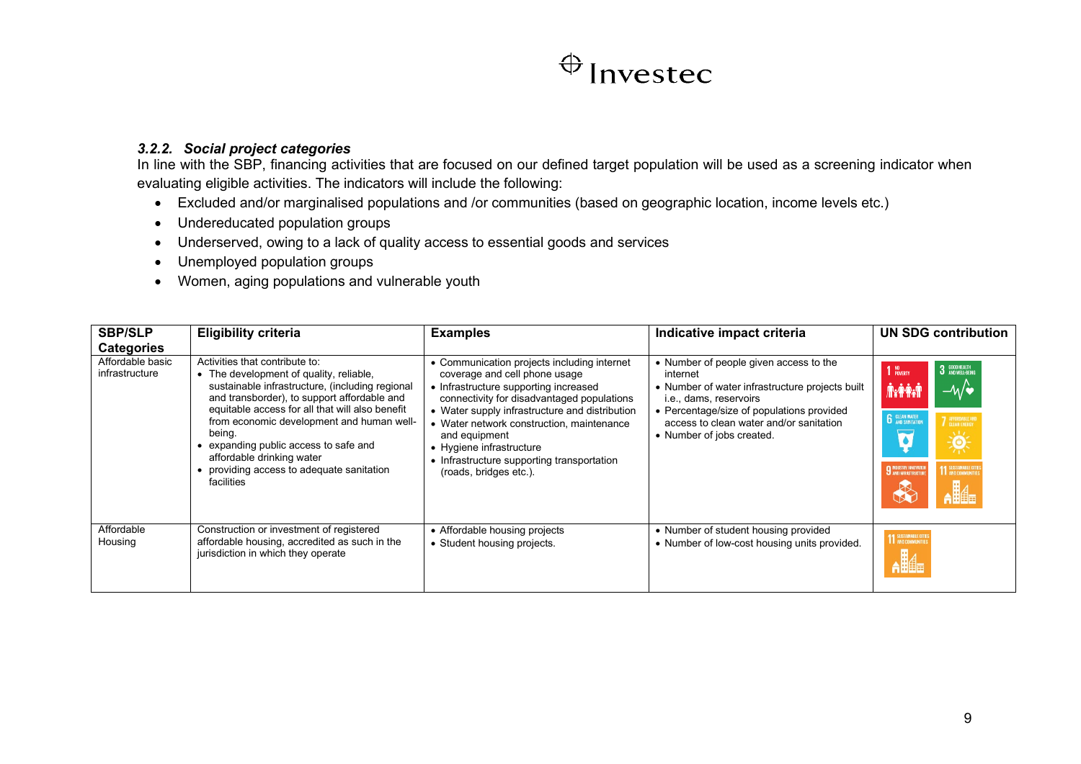### *3.2.2. Social project categories*

In line with the SBP, financing activities that are focused on our defined target population will be used as a screening indicator when evaluating eligible activities. The indicators will include the following:

- Excluded and/or marginalised populations and /or communities (based on geographic location, income levels etc.)
- Undereducated population groups
- Underserved, owing to a lack of quality access to essential goods and services
- Unemployed population groups
- Women, aging populations and vulnerable youth

<span id="page-12-0"></span>

| <b>SBP/SLP</b><br><b>Categories</b> | <b>Eligibility criteria</b>                                                                                                                                                                                                                                                                                                                                                                                        | <b>Examples</b>                                                                                                                                                                                                                                                                                                                                                                         | Indicative impact criteria                                                                                                                                                                                                                           | UN SDG contribution                                                                                                                                                 |
|-------------------------------------|--------------------------------------------------------------------------------------------------------------------------------------------------------------------------------------------------------------------------------------------------------------------------------------------------------------------------------------------------------------------------------------------------------------------|-----------------------------------------------------------------------------------------------------------------------------------------------------------------------------------------------------------------------------------------------------------------------------------------------------------------------------------------------------------------------------------------|------------------------------------------------------------------------------------------------------------------------------------------------------------------------------------------------------------------------------------------------------|---------------------------------------------------------------------------------------------------------------------------------------------------------------------|
| Affordable basic<br>infrastructure  | Activities that contribute to:<br>• The development of quality, reliable,<br>sustainable infrastructure, (including regional<br>and transborder), to support affordable and<br>equitable access for all that will also benefit<br>from economic development and human well-<br>being.<br>expanding public access to safe and<br>affordable drinking water<br>providing access to adequate sanitation<br>facilities | • Communication projects including internet<br>coverage and cell phone usage<br>• Infrastructure supporting increased<br>connectivity for disadvantaged populations<br>• Water supply infrastructure and distribution<br>• Water network construction, maintenance<br>and equipment<br>• Hygiene infrastructure<br>• Infrastructure supporting transportation<br>(roads, bridges etc.). | • Number of people given access to the<br>internet<br>• Number of water infrastructure projects built<br>i.e., dams, reservoirs<br>• Percentage/size of populations provided<br>access to clean water and/or sanitation<br>• Number of jobs created. | 3 GOOD HEALTH<br>NO<br>Poverty<br>–∿⁄∙<br><b>JERORAL</b><br><b>6</b> CLEAN WATER<br>AFFORDABLE AN<br>美<br>11 SUSTAINABLE CITY<br><b>9 INDUSTRY, INNOVATIO</b><br>H⊪ |
| Affordable<br>Housing               | Construction or investment of registered<br>affordable housing, accredited as such in the<br>jurisdiction in which they operate                                                                                                                                                                                                                                                                                    | • Affordable housing projects<br>• Student housing projects.                                                                                                                                                                                                                                                                                                                            | • Number of student housing provided<br>• Number of low-cost housing units provided.                                                                                                                                                                 | 11 SUSTAINABLE CITIE<br><b>Alla</b>                                                                                                                                 |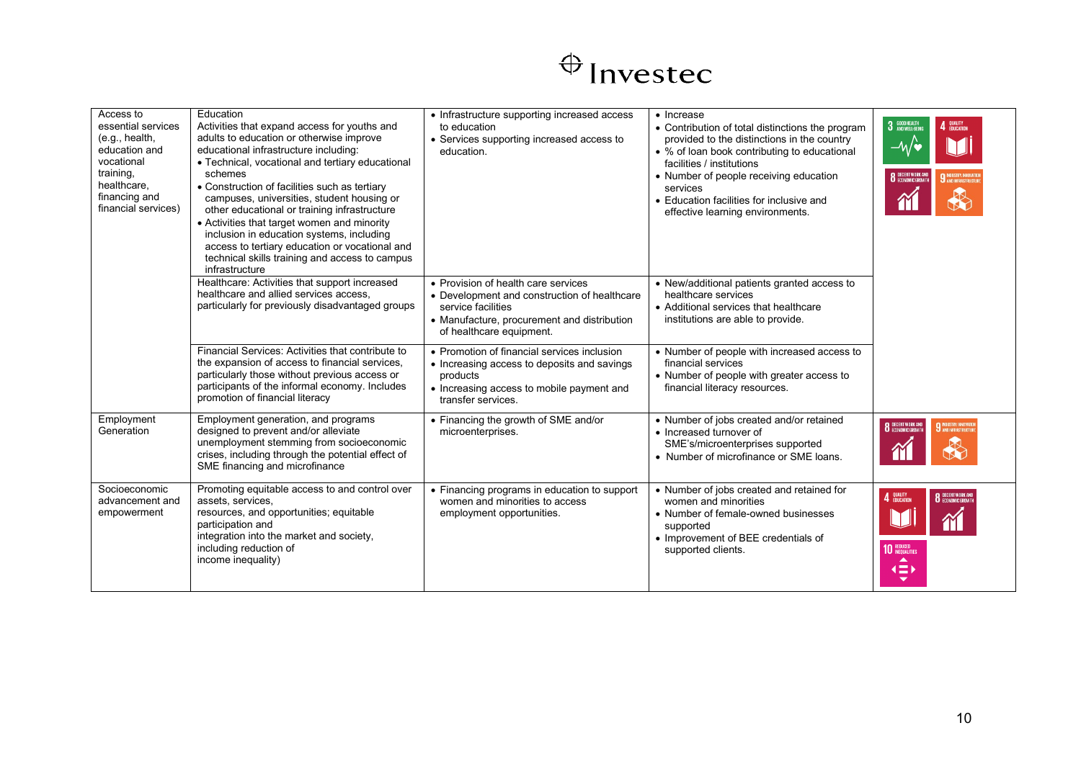| Access to<br>essential services<br>(e.g., health,<br>education and<br>vocational<br>training,<br>healthcare,<br>financing and<br>financial services) | Education<br>Activities that expand access for youths and<br>adults to education or otherwise improve<br>educational infrastructure including:<br>• Technical, vocational and tertiary educational<br>schemes<br>• Construction of facilities such as tertiary<br>campuses, universities, student housing or<br>other educational or training infrastructure<br>• Activities that target women and minority<br>inclusion in education systems, including<br>access to tertiary education or vocational and<br>technical skills training and access to campus<br>infrastructure | • Infrastructure supporting increased access<br>to education<br>• Services supporting increased access to<br>education                                                               | • Increase<br>• Contribution of total distinctions the program<br>provided to the distinctions in the country<br>• % of loan book contributing to educational<br>facilities / institutions<br>• Number of people receiving education<br>services<br>• Education facilities for inclusive and<br>effective learning environments. | 3 GOOD HEALTH<br>4 QUALITY<br><b>8</b> DECENT WORK AN                                      |
|------------------------------------------------------------------------------------------------------------------------------------------------------|--------------------------------------------------------------------------------------------------------------------------------------------------------------------------------------------------------------------------------------------------------------------------------------------------------------------------------------------------------------------------------------------------------------------------------------------------------------------------------------------------------------------------------------------------------------------------------|--------------------------------------------------------------------------------------------------------------------------------------------------------------------------------------|----------------------------------------------------------------------------------------------------------------------------------------------------------------------------------------------------------------------------------------------------------------------------------------------------------------------------------|--------------------------------------------------------------------------------------------|
|                                                                                                                                                      | Healthcare: Activities that support increased<br>healthcare and allied services access,<br>particularly for previously disadvantaged groups                                                                                                                                                                                                                                                                                                                                                                                                                                    | • Provision of health care services<br>• Development and construction of healthcare<br>service facilities<br>• Manufacture, procurement and distribution<br>of healthcare equipment. | • New/additional patients granted access to<br>healthcare services<br>• Additional services that healthcare<br>institutions are able to provide.                                                                                                                                                                                 |                                                                                            |
|                                                                                                                                                      | Financial Services: Activities that contribute to<br>the expansion of access to financial services,<br>particularly those without previous access or<br>participants of the informal economy. Includes<br>promotion of financial literacy                                                                                                                                                                                                                                                                                                                                      | • Promotion of financial services inclusion<br>• Increasing access to deposits and savings<br>products<br>• Increasing access to mobile payment and<br>transfer services.            | • Number of people with increased access to<br>financial services<br>• Number of people with greater access to<br>financial literacy resources.                                                                                                                                                                                  |                                                                                            |
| Employment<br>Generation                                                                                                                             | Employment generation, and programs<br>designed to prevent and/or alleviate<br>unemployment stemming from socioeconomic<br>crises, including through the potential effect of<br>SME financing and microfinance                                                                                                                                                                                                                                                                                                                                                                 | • Financing the growth of SME and/or<br>microenterprises.                                                                                                                            | • Number of jobs created and/or retained<br>• Increased turnover of<br>SME's/microenterprises supported<br>• Number of microfinance or SME loans.                                                                                                                                                                                | <b>8</b> DECENT WORK AND<br><b>9</b> INDUSTRY, INNOVATIO<br>M                              |
| Socioeconomic<br>advancement and<br>empowerment                                                                                                      | Promoting equitable access to and control over<br>assets, services,<br>resources, and opportunities; equitable<br>participation and<br>integration into the market and society,<br>including reduction of<br>income inequality)                                                                                                                                                                                                                                                                                                                                                | • Financing programs in education to support<br>women and minorities to access<br>employment opportunities.                                                                          | • Number of jobs created and retained for<br>women and minorities<br>• Number of female-owned businesses<br>supported<br>• Improvement of BEE credentials of<br>supported clients.                                                                                                                                               | 4 QUALITY<br><b>8</b> DECENT WORK AND<br><b>10 REDUCED</b><br>▲<br>$\left( \equiv \right)$ |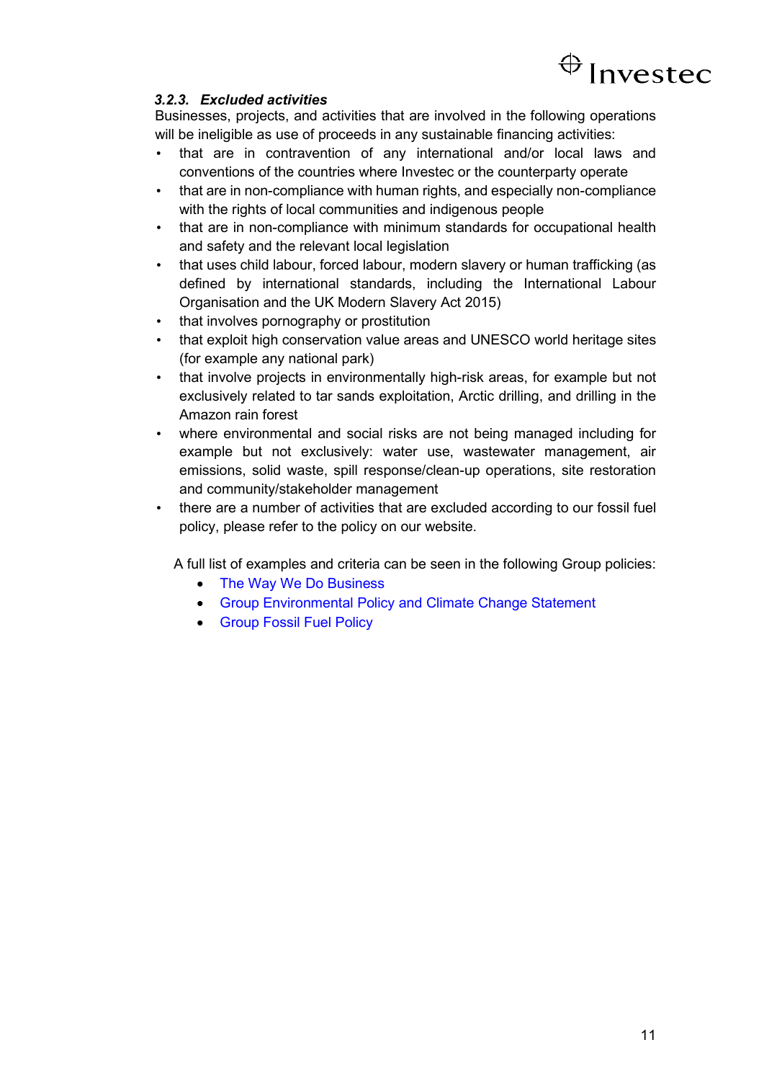

### <span id="page-14-0"></span>*3.2.3. Excluded activities*

Businesses, projects, and activities that are involved in the following operations will be ineligible as use of proceeds in any sustainable financing activities:

- that are in contravention of any international and/or local laws and conventions of the countries where Investec or the counterparty operate
- that are in non-compliance with human rights, and especially non-compliance with the rights of local communities and indigenous people
- that are in non-compliance with minimum standards for occupational health and safety and the relevant local legislation
- that uses child labour, forced labour, modern slavery or human trafficking (as defined by international standards, including the International Labour Organisation and the UK Modern Slavery Act 2015)
- that involves pornography or prostitution
- that exploit high conservation value areas and UNESCO world heritage sites (for example any national park)
- that involve projects in environmentally high-risk areas, for example but not exclusively related to tar sands exploitation, Arctic drilling, and drilling in the Amazon rain forest
- where environmental and social risks are not being managed including for example but not exclusively: water use, wastewater management, air emissions, solid waste, spill response/clean-up operations, site restoration and community/stakeholder management
- there are a number of activities that are excluded according to our fossil fuel policy, please refer to the policy on our website.

A full list of examples and criteria can be seen in the following Group policies:

- [The Way We Do Business](https://www.investec.com/content/dam/south-africa/welcome-to-investec/corporate-responsibility/Investec-The-Way-We-Do-Business-June-2020.pdf)
- [Group Environmental Policy and Climate Change Statement](https://www.investec.com/content/dam/south-africa/welcome-to-investec/corporate-responsibility/Investecs-group-environmental-policy-statement-June-2020.pdf)
- [Group Fossil Fuel Policy](https://www.investec.com/content/dam/south-africa/welcome-to-investec/corporate-responsibility/Investec-Fossil-Fuel-Policy-March-2020.pdf)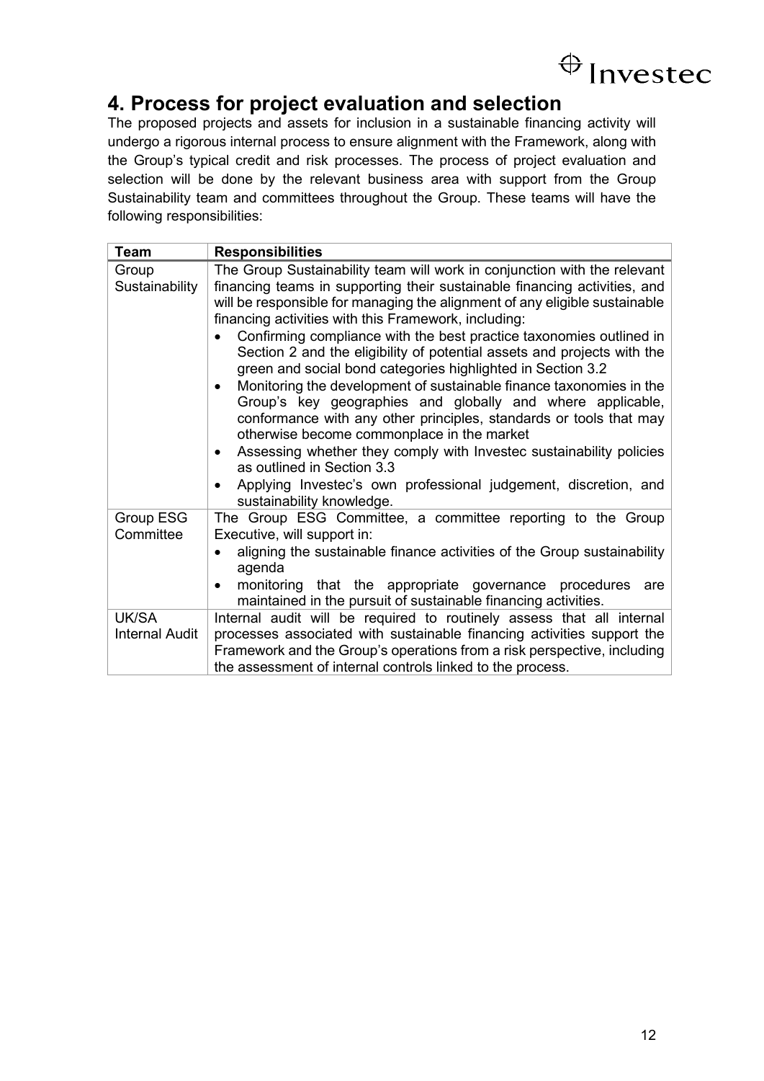## <span id="page-15-0"></span>**4. Process for project evaluation and selection**

The proposed projects and assets for inclusion in a sustainable financing activity will undergo a rigorous internal process to ensure alignment with the Framework, along with the Group's typical credit and risk processes. The process of project evaluation and selection will be done by the relevant business area with support from the Group Sustainability team and committees throughout the Group. These teams will have the following responsibilities:

| <b>Team</b>                    | <b>Responsibilities</b>                                                                                                                                                                                                                                                                                                                                                                                                                                                                                                                                                                                                                                                                                                                                                                                                                                                                                                                                                                                           |
|--------------------------------|-------------------------------------------------------------------------------------------------------------------------------------------------------------------------------------------------------------------------------------------------------------------------------------------------------------------------------------------------------------------------------------------------------------------------------------------------------------------------------------------------------------------------------------------------------------------------------------------------------------------------------------------------------------------------------------------------------------------------------------------------------------------------------------------------------------------------------------------------------------------------------------------------------------------------------------------------------------------------------------------------------------------|
| Group<br>Sustainability        | The Group Sustainability team will work in conjunction with the relevant<br>financing teams in supporting their sustainable financing activities, and<br>will be responsible for managing the alignment of any eligible sustainable<br>financing activities with this Framework, including:<br>Confirming compliance with the best practice taxonomies outlined in<br>Section 2 and the eligibility of potential assets and projects with the<br>green and social bond categories highlighted in Section 3.2<br>Monitoring the development of sustainable finance taxonomies in the<br>$\bullet$<br>Group's key geographies and globally and where applicable,<br>conformance with any other principles, standards or tools that may<br>otherwise become commonplace in the market<br>Assessing whether they comply with Investec sustainability policies<br>$\bullet$<br>as outlined in Section 3.3<br>Applying Investec's own professional judgement, discretion, and<br>$\bullet$<br>sustainability knowledge. |
| Group ESG<br>Committee         | The Group ESG Committee, a committee reporting to the Group<br>Executive, will support in:<br>aligning the sustainable finance activities of the Group sustainability<br>agenda<br>monitoring that the appropriate governance procedures are<br>$\bullet$<br>maintained in the pursuit of sustainable financing activities.                                                                                                                                                                                                                                                                                                                                                                                                                                                                                                                                                                                                                                                                                       |
| UK/SA<br><b>Internal Audit</b> | Internal audit will be required to routinely assess that all internal<br>processes associated with sustainable financing activities support the<br>Framework and the Group's operations from a risk perspective, including<br>the assessment of internal controls linked to the process.                                                                                                                                                                                                                                                                                                                                                                                                                                                                                                                                                                                                                                                                                                                          |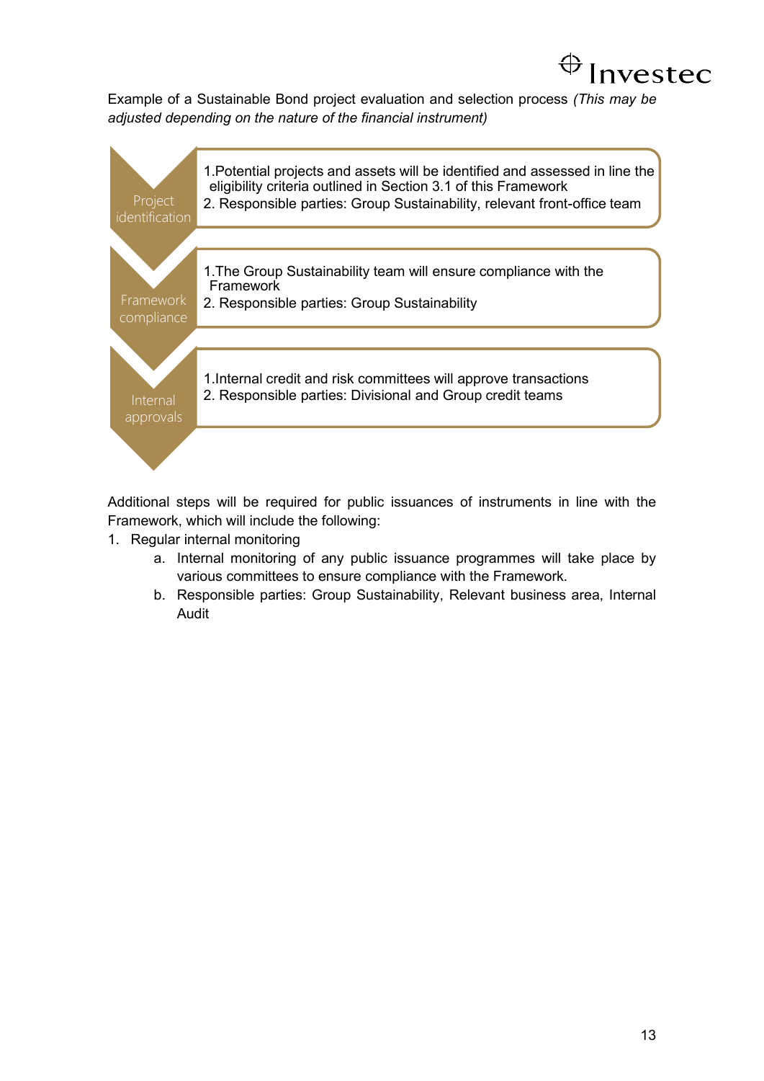

Example of a Sustainable Bond project evaluation and selection process *(This may be adjusted depending on the nature of the financial instrument)*



Additional steps will be required for public issuances of instruments in line with the Framework, which will include the following:

- 1. Regular internal monitoring
	- a. Internal monitoring of any public issuance programmes will take place by various committees to ensure compliance with the Framework.
	- b. Responsible parties: Group Sustainability, Relevant business area, Internal Audit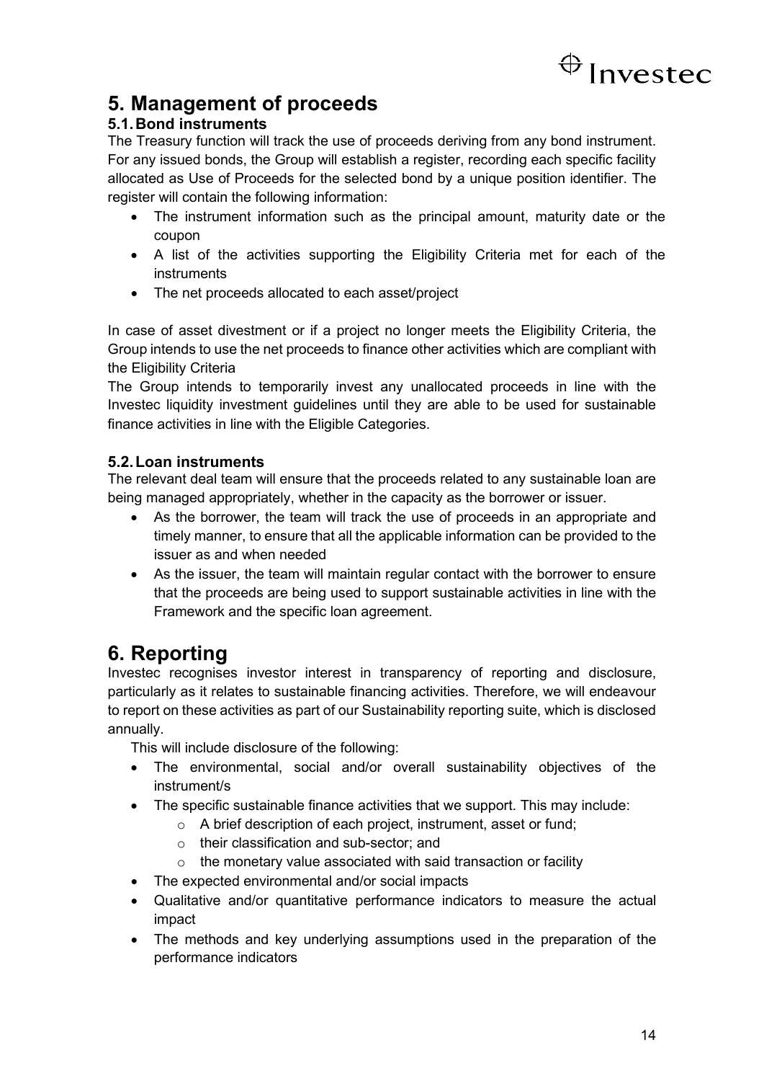

### <span id="page-17-0"></span>**5. Management of proceeds**

### <span id="page-17-1"></span>**5.1.Bond instruments**

The Treasury function will track the use of proceeds deriving from any bond instrument. For any issued bonds, the Group will establish a register, recording each specific facility allocated as Use of Proceeds for the selected bond by a unique position identifier. The register will contain the following information:

- The instrument information such as the principal amount, maturity date or the coupon
- A list of the activities supporting the Eligibility Criteria met for each of the instruments
- The net proceeds allocated to each asset/project

In case of asset divestment or if a project no longer meets the Eligibility Criteria, the Group intends to use the net proceeds to finance other activities which are compliant with the Eligibility Criteria

The Group intends to temporarily invest any unallocated proceeds in line with the Investec liquidity investment guidelines until they are able to be used for sustainable finance activities in line with the Eligible Categories.

### <span id="page-17-2"></span>**5.2.Loan instruments**

The relevant deal team will ensure that the proceeds related to any sustainable loan are being managed appropriately, whether in the capacity as the borrower or issuer.

- As the borrower, the team will track the use of proceeds in an appropriate and timely manner, to ensure that all the applicable information can be provided to the issuer as and when needed
- As the issuer, the team will maintain regular contact with the borrower to ensure that the proceeds are being used to support sustainable activities in line with the Framework and the specific loan agreement.

### <span id="page-17-3"></span>**6. Reporting**

Investec recognises investor interest in transparency of reporting and disclosure, particularly as it relates to sustainable financing activities. Therefore, we will endeavour to report on these activities as part of our Sustainability reporting suite, which is disclosed annually.

This will include disclosure of the following:

- The environmental, social and/or overall sustainability objectives of the instrument/s
- The specific sustainable finance activities that we support. This may include:
	- o A brief description of each project, instrument, asset or fund;
	- o their classification and sub-sector; and
	- $\circ$  the monetary value associated with said transaction or facility
- The expected environmental and/or social impacts
- Qualitative and/or quantitative performance indicators to measure the actual impact
- The methods and key underlying assumptions used in the preparation of the performance indicators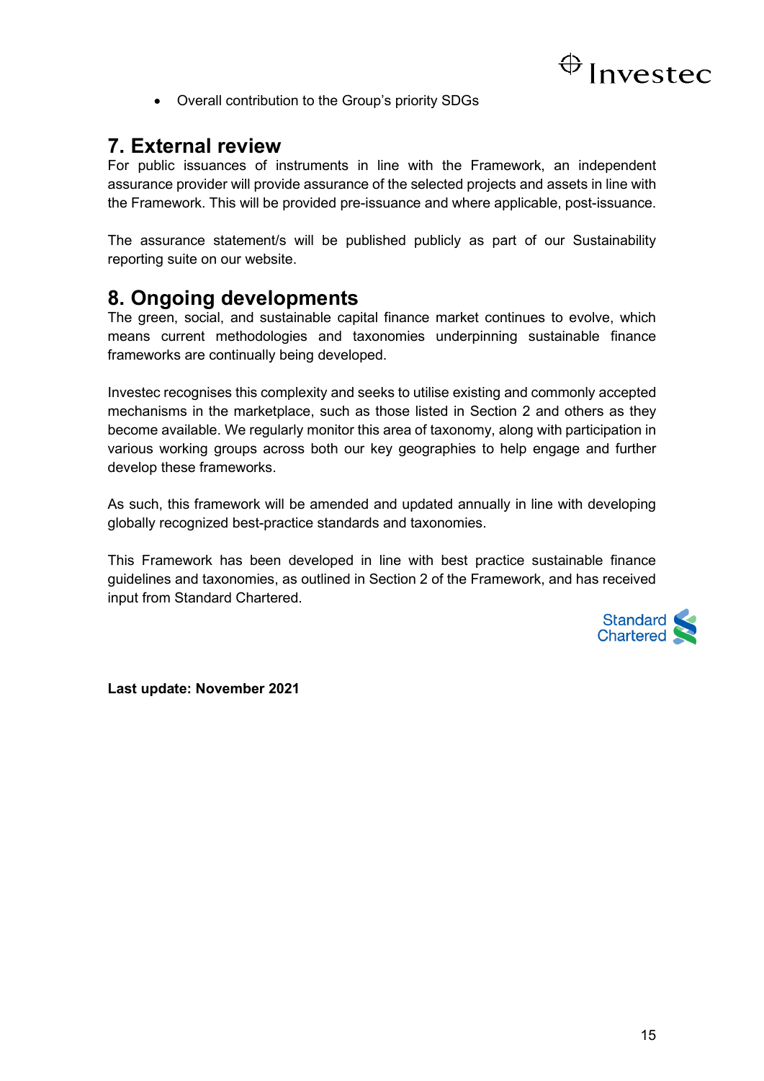

• Overall contribution to the Group's priority SDGs

### <span id="page-18-0"></span>**7. External review**

For public issuances of instruments in line with the Framework, an independent assurance provider will provide assurance of the selected projects and assets in line with the Framework. This will be provided pre-issuance and where applicable, post-issuance.

The assurance statement/s will be published publicly as part of our Sustainability reporting suite on our website.

### <span id="page-18-1"></span>**8. Ongoing developments**

The green, social, and sustainable capital finance market continues to evolve, which means current methodologies and taxonomies underpinning sustainable finance frameworks are continually being developed.

Investec recognises this complexity and seeks to utilise existing and commonly accepted mechanisms in the marketplace, such as those listed in Section 2 and others as they become available. We regularly monitor this area of taxonomy, along with participation in various working groups across both our key geographies to help engage and further develop these frameworks.

As such, this framework will be amended and updated annually in line with developing globally recognized best-practice standards and taxonomies.

This Framework has been developed in line with best practice sustainable finance guidelines and taxonomies, as outlined in Section 2 of the Framework, and has received input from Standard Chartered.



**Last update: November 2021**